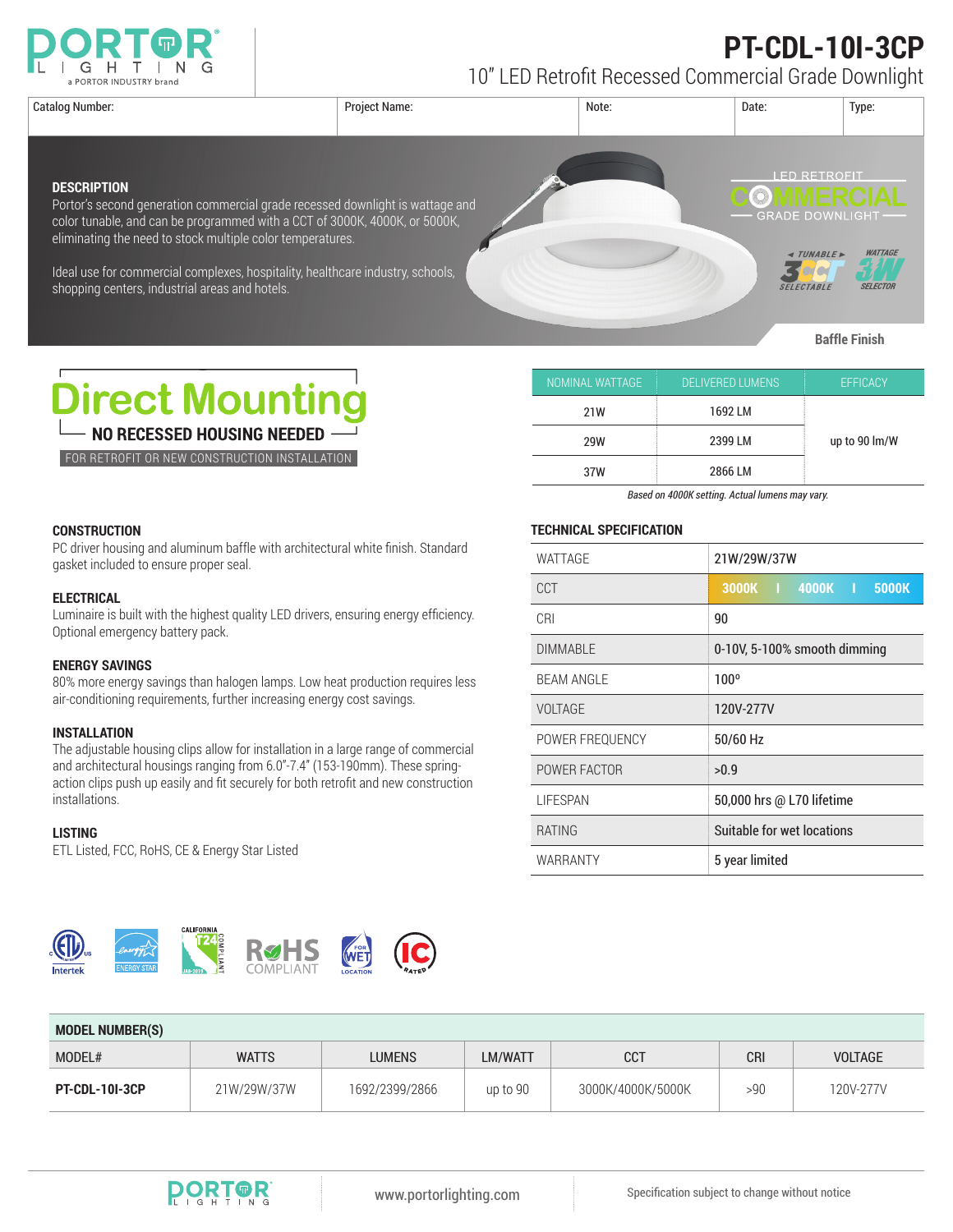

## **PT-CDL-10I-3CP**

10" LED Retrofit Recessed Commercial Grade Downlight

| Catalog Number:                                                                                                                                                                                                                                                                                                                                                                     | <b>Project Name:</b> | Note: | Date:                                                                                   | Type:                             |
|-------------------------------------------------------------------------------------------------------------------------------------------------------------------------------------------------------------------------------------------------------------------------------------------------------------------------------------------------------------------------------------|----------------------|-------|-----------------------------------------------------------------------------------------|-----------------------------------|
| <b>DESCRIPTION</b><br>Portor's second generation commercial grade recessed downlight is wattage and<br>color tunable, and can be programmed with a CCT of 3000K, 4000K, or 5000K,<br>eliminating the need to stock multiple color temperatures.<br>Ideal use for commercial complexes, hospitality, healthcare industry, schools,<br>shopping centers, industrial areas and hotels. |                      |       | <b>FD RETROEL</b><br><b>GRADE DOWNLIGHT-</b><br><b>« TUNABLE</b> »<br><b>SELECTABLE</b> | <b>WATTAGE</b><br><b>SELECTOR</b> |

**Baffle Finish**



FOR RETROFIT OR NEW CONSTRUCTION INSTALLATION

| NOMINAL WATTAGE, | <b>DELIVERED LUMENS</b> | <b>EFFICACY</b> |  |
|------------------|-------------------------|-----------------|--|
| 21W              | 1692 LM                 |                 |  |
| 2399 LM<br>29W   |                         | up to 90 lm/W   |  |
| 37W              | 2866 LM                 |                 |  |

*Based on 4000K setting. Actual lumens may vary.*

## **CONSTRUCTION**

PC driver housing and aluminum baffle with architectural white finish. Standard gasket included to ensure proper seal.

## **ELECTRICAL**

Luminaire is built with the highest quality LED drivers, ensuring energy efficiency. Optional emergency battery pack.

### **ENERGY SAVINGS**

80% more energy savings than halogen lamps. Low heat production requires less air-conditioning requirements, further increasing energy cost savings.

## **INSTALLATION**

The adjustable housing clips allow for installation in a large range of commercial and architectural housings ranging from 6.0"-7.4" (153-190mm). These springaction clips push up easily and fit securely for both retrofit and new construction installations.

#### **LISTING**

ETL Listed, FCC, RoHS, CE & Energy Star Listed



### **TECHNICAL SPECIFICATION**

| WATTAGE           | 21W/29W/37W                  |  |  |
|-------------------|------------------------------|--|--|
| CCT               | 3000K   4000K   5000K        |  |  |
| CRI               | 90                           |  |  |
| <b>DIMMABLE</b>   | 0-10V, 5-100% smooth dimming |  |  |
| <b>BEAM ANGLE</b> | $100^{\circ}$                |  |  |
| VOLTAGE           | 120V-277V                    |  |  |
| POWER FREQUENCY   | 50/60 Hz                     |  |  |
| POWER FACTOR      | >0.9                         |  |  |
| <b>LIFESPAN</b>   | 50,000 hrs @ L70 lifetime    |  |  |
| <b>RATING</b>     | Suitable for wet locations   |  |  |
| WARRANTY          | 5 year limited               |  |  |

| <b>MODEL NUMBER(S)</b> |              |                |          |                   |            |                |  |  |
|------------------------|--------------|----------------|----------|-------------------|------------|----------------|--|--|
| MODEL#                 | <b>WATTS</b> | <b>LUMENS</b>  | LM/WATT  | <b>CCT</b>        | <b>CRI</b> | <b>VOLTAGE</b> |  |  |
| <b>PT-CDL-10I-3CP</b>  | 21W/29W/37W  | 1692/2399/2866 | up to 90 | 3000K/4000K/5000K | >90        | 120V-277V      |  |  |